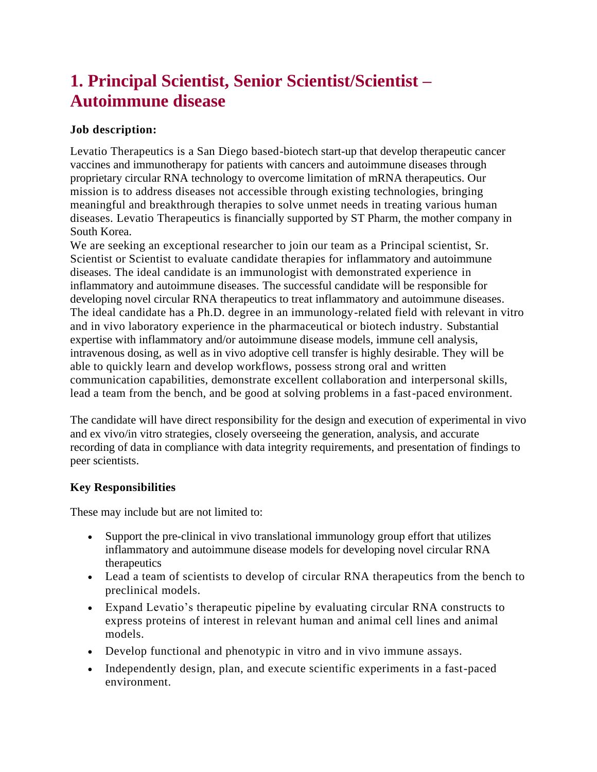# **1. Principal Scientist, Senior Scientist/Scientist – Autoimmune disease**

## **Job description:**

Levatio Therapeutics is a San Diego based-biotech start-up that develop therapeutic cancer vaccines and immunotherapy for patients with cancers and autoimmune diseases through proprietary circular RNA technology to overcome limitation of mRNA therapeutics. Our mission is to address diseases not accessible through existing technologies, bringing meaningful and breakthrough therapies to solve unmet needs in treating various human diseases. Levatio Therapeutics is financially supported by ST Pharm, the mother company in South Korea.

We are seeking an exceptional researcher to join our team as a Principal scientist, Sr. Scientist or Scientist to evaluate candidate therapies for inflammatory and autoimmune diseases. The ideal candidate is an immunologist with demonstrated experience in inflammatory and autoimmune diseases. The successful candidate will be responsible for developing novel circular RNA therapeutics to treat inflammatory and autoimmune diseases. The ideal candidate has a Ph.D. degree in an immunology-related field with relevant in vitro and in vivo laboratory experience in the pharmaceutical or biotech industry. Substantial expertise with inflammatory and/or autoimmune disease models, immune cell analysis, intravenous dosing, as well as in vivo adoptive cell transfer is highly desirable. They will be able to quickly learn and develop workflows, possess strong oral and written communication capabilities, demonstrate excellent collaboration and interpersonal skills, lead a team from the bench, and be good at solving problems in a fast-paced environment.

The candidate will have direct responsibility for the design and execution of experimental in vivo and ex vivo/in vitro strategies, closely overseeing the generation, analysis, and accurate recording of data in compliance with data integrity requirements, and presentation of findings to peer scientists.

#### **Key Responsibilities**

These may include but are not limited to:

- Support the pre-clinical in vivo translational immunology group effort that utilizes inflammatory and autoimmune disease models for developing novel circular RNA therapeutics
- Lead a team of scientists to develop of circular RNA therapeutics from the bench to preclinical models.
- Expand Levatio's therapeutic pipeline by evaluating circular RNA constructs to express proteins of interest in relevant human and animal cell lines and animal models.
- Develop functional and phenotypic in vitro and in vivo immune assays.
- Independently design, plan, and execute scientific experiments in a fast-paced environment.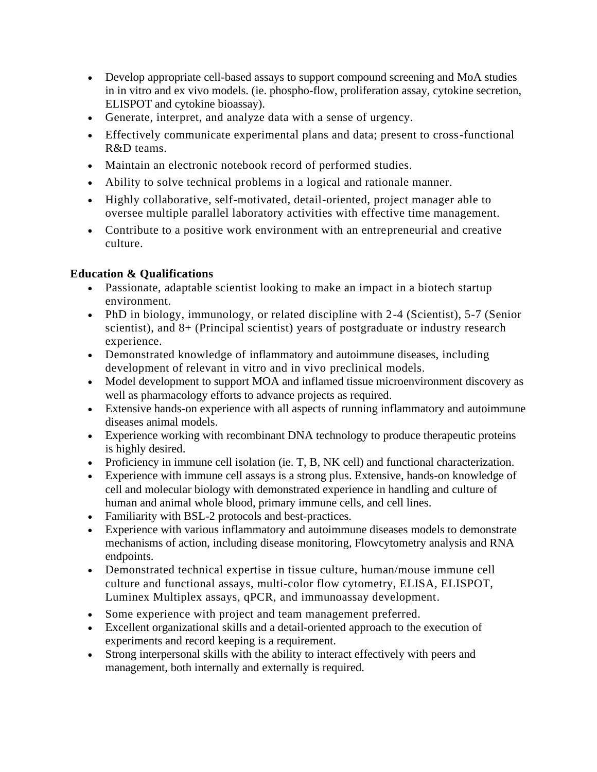- Develop appropriate cell-based assays to support compound screening and MoA studies in in vitro and ex vivo models. (ie. phospho-flow, proliferation assay, cytokine secretion, ELISPOT and cytokine bioassay).
- Generate, interpret, and analyze data with a sense of urgency.
- Effectively communicate experimental plans and data; present to cross-functional R&D teams.
- Maintain an electronic notebook record of performed studies.
- Ability to solve technical problems in a logical and rationale manner.
- Highly collaborative, self-motivated, detail-oriented, project manager able to oversee multiple parallel laboratory activities with effective time management.
- Contribute to a positive work environment with an entrepreneurial and creative culture.

## **Education & Qualifications**

- Passionate, adaptable scientist looking to make an impact in a biotech startup environment.
- PhD in biology, immunology, or related discipline with 2-4 (Scientist), 5-7 (Senior scientist), and 8+ (Principal scientist) years of postgraduate or industry research experience.
- Demonstrated knowledge of inflammatory and autoimmune diseases, including development of relevant in vitro and in vivo preclinical models.
- Model development to support MOA and inflamed tissue microenvironment discovery as well as pharmacology efforts to advance projects as required.
- Extensive hands-on experience with all aspects of running inflammatory and autoimmune diseases animal models.
- Experience working with recombinant DNA technology to produce therapeutic proteins is highly desired.
- Proficiency in immune cell isolation (ie. T, B, NK cell) and functional characterization.
- Experience with immune cell assays is a strong plus. Extensive, hands-on knowledge of cell and molecular biology with demonstrated experience in handling and culture of human and animal whole blood, primary immune cells, and cell lines.
- Familiarity with BSL-2 protocols and best-practices.
- Experience with various inflammatory and autoimmune diseases models to demonstrate mechanisms of action, including disease monitoring, Flowcytometry analysis and RNA endpoints.
- Demonstrated technical expertise in tissue culture, human/mouse immune cell culture and functional assays, multi-color flow cytometry, ELISA, ELISPOT, Luminex Multiplex assays, qPCR, and immunoassay development.
- Some experience with project and team management preferred.
- Excellent organizational skills and a detail-oriented approach to the execution of experiments and record keeping is a requirement.
- Strong interpersonal skills with the ability to interact effectively with peers and management, both internally and externally is required.